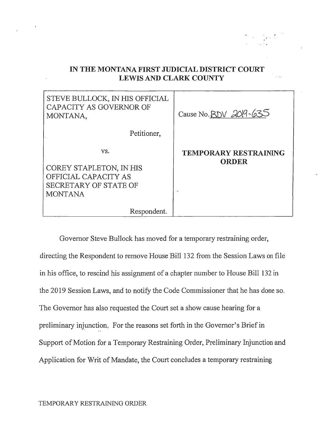| STEVE BULLOCK, IN HIS OFFICIAL<br>CAPACITY AS GOVERNOR OF<br>MONTANA, | Cause No. BDV 2019-635       |
|-----------------------------------------------------------------------|------------------------------|
| Petitioner,                                                           |                              |
| VS.                                                                   | <b>TEMPORARY RESTRAINING</b> |
| COREY STAPLETON, IN HIS                                               | <b>ORDER</b>                 |
| OFFICIAL CAPACITY AS                                                  |                              |
| SECRETARY OF STATE OF                                                 |                              |
| <b>MONTANA</b>                                                        |                              |
| Respondent.                                                           |                              |

**IN THE MONTANA FIRST JUDICIAL DISTRICT COURT LEWIS AND CLARK COUNTY** 

Governor Steve Bullock has moved for a temporary restraining order, directing the Respondent to remove House Bill 132 from the Session Laws on file in his office, to rescind his assignment of a chapter number to House Bill 132 in the 2019 Session Laws, and to notify the Code Commissioner that he has done so. The Governor has also requested the Court set a show cause hearing for a preliminary injunction. For the reasons set forth in the Governor's Brief in . -Support of Motion for a Temporary Restraining Order, Preliminary Injunction and Application for Writ of Mandate, the Court concludes a temporary restraining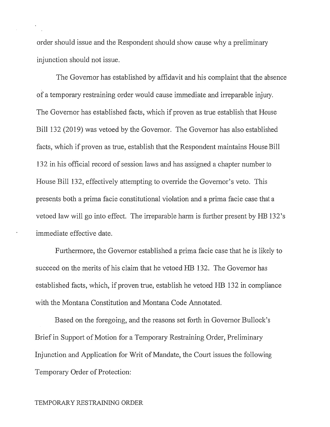order should issue and the Respondent should show cause why a preliminary injunction should not issue.

The Governor has established by affidavit and his complaint that the absence of a temporary restraining order would cause immediate and irreparable injury. The Governor has established facts, which if proven as true establish that House Bill 132 (2019) was vetoed by the Governor. The Governor has also established facts, which if proven as true, establish that the Respondent maintains House Bill 132 in his official record of session laws and has assigned a chapter number to House Bill 132, effectively attempting to override the Governor's veto. This presents both a prima facie constitutional violation and a prima facie case that a vetoed law will go into effect. The irreparable harm is further present by HB 132's immediate effective date.

Furthermore, the Governor established a prima facie case that he is likely to succeed on the merits of his claim that he vetoed HB 132. The Governor has established facts, which, if proven true, establish he vetoed HB 132 in compliance with the Montana Constitution and Montana Code Annotated.

Based on the foregoing, and the reasons set forth in Governor Bullock's Brief in Support of Motion for a Temporary Restraining Order, Preliminary Injunction and Application for Writ of Mandate, the Court issues the following Temporary Order of Protection: